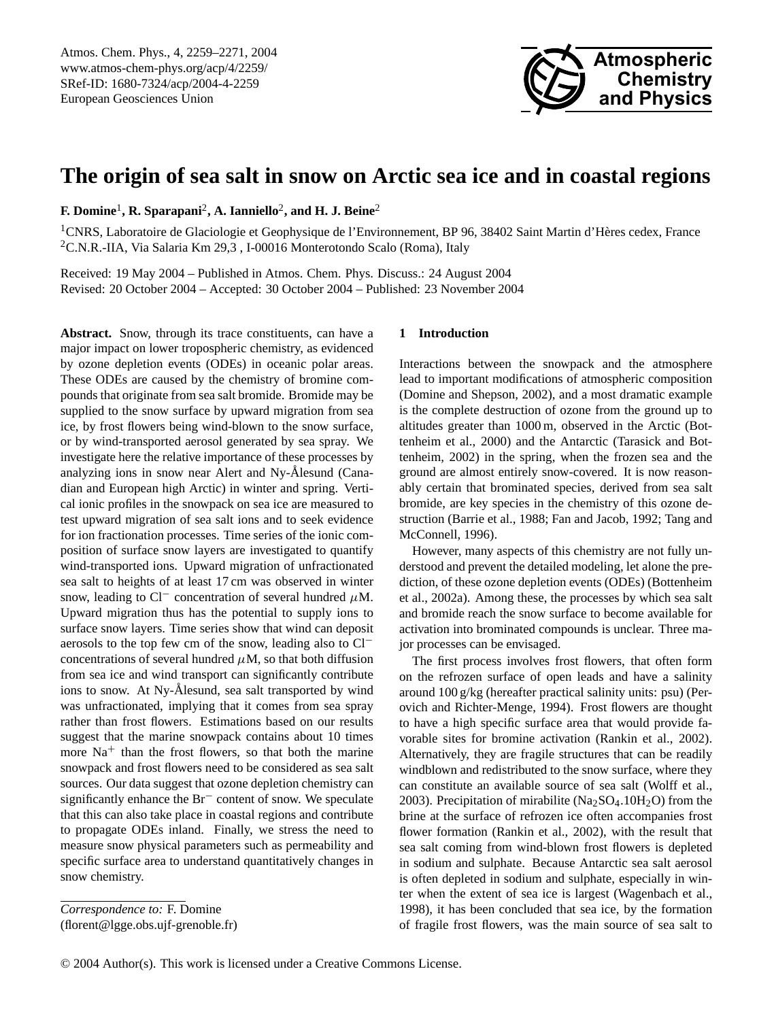

# **The origin of sea salt in snow on Arctic sea ice and in coastal regions**

**F. Domine**<sup>1</sup> **, R. Sparapani**<sup>2</sup> **, A. Ianniello**<sup>2</sup> **, and H. J. Beine**<sup>2</sup>

 $1$ CNRS, Laboratoire de Glaciologie et Geophysique de l'Environnement, BP 96, 38402 Saint Martin d'Hères cedex, France <sup>2</sup>C.N.R.-IIA, Via Salaria Km 29,3, I-00016 Monterotondo Scalo (Roma), Italy

Received: 19 May 2004 – Published in Atmos. Chem. Phys. Discuss.: 24 August 2004 Revised: 20 October 2004 – Accepted: 30 October 2004 – Published: 23 November 2004

**Abstract.** Snow, through its trace constituents, can have a major impact on lower tropospheric chemistry, as evidenced by ozone depletion events (ODEs) in oceanic polar areas. These ODEs are caused by the chemistry of bromine compounds that originate from sea salt bromide. Bromide may be supplied to the snow surface by upward migration from sea ice, by frost flowers being wind-blown to the snow surface, or by wind-transported aerosol generated by sea spray. We investigate here the relative importance of these processes by analyzing ions in snow near Alert and Ny-Ålesund (Canadian and European high Arctic) in winter and spring. Vertical ionic profiles in the snowpack on sea ice are measured to test upward migration of sea salt ions and to seek evidence for ion fractionation processes. Time series of the ionic composition of surface snow layers are investigated to quantify wind-transported ions. Upward migration of unfractionated sea salt to heights of at least 17 cm was observed in winter snow, leading to Cl<sup>−</sup> concentration of several hundred  $\mu$ M. Upward migration thus has the potential to supply ions to surface snow layers. Time series show that wind can deposit aerosols to the top few cm of the snow, leading also to Cl<sup>−</sup> concentrations of several hundred  $\mu$ M, so that both diffusion from sea ice and wind transport can significantly contribute ions to snow. At Ny-Ålesund, sea salt transported by wind was unfractionated, implying that it comes from sea spray rather than frost flowers. Estimations based on our results suggest that the marine snowpack contains about 10 times more  $Na<sup>+</sup>$  than the frost flowers, so that both the marine snowpack and frost flowers need to be considered as sea salt sources. Our data suggest that ozone depletion chemistry can significantly enhance the Br<sup>−</sup> content of snow. We speculate that this can also take place in coastal regions and contribute to propagate ODEs inland. Finally, we stress the need to measure snow physical parameters such as permeability and specific surface area to understand quantitatively changes in snow chemistry.

<span id="page-0-0"></span>(florent@lgge.obs.ujf-grenoble.fr)

## **1 Introduction**

Interactions between the snowpack and the atmosphere lead to important modifications of atmospheric composition (Domine and Shepson, 2002), and a most dramatic example is the complete destruction of ozone from the ground up to altitudes greater than 1000 m, observed in the Arctic (Bottenheim et al., 2000) and the Antarctic (Tarasick and Bottenheim, 2002) in the spring, when the frozen sea and the ground are almost entirely snow-covered. It is now reasonably certain that brominated species, derived from sea salt bromide, are key species in the chemistry of this ozone destruction (Barrie et al., 1988; Fan and Jacob, 1992; Tang and McConnell, 1996).

However, many aspects of this chemistry are not fully understood and prevent the detailed modeling, let alone the prediction, of these ozone depletion events (ODEs) (Bottenheim et al., 2002a). Among these, the processes by which sea salt and bromide reach the snow surface to become available for activation into brominated compounds is unclear. Three major processes can be envisaged.

The first process involves frost flowers, that often form on the refrozen surface of open leads and have a salinity around 100 g/kg (hereafter practical salinity units: psu) (Perovich and Richter-Menge, 1994). Frost flowers are thought to have a high specific surface area that would provide favorable sites for bromine activation (Rankin et al., 2002). Alternatively, they are fragile structures that can be readily windblown and redistributed to the snow surface, where they can constitute an available source of sea salt (Wolff et al., 2003). Precipitation of mirabilite  $(Na<sub>2</sub>SO<sub>4</sub>.10H<sub>2</sub>O)$  from the brine at the surface of refrozen ice often accompanies frost flower formation (Rankin et al., 2002), with the result that sea salt coming from wind-blown frost flowers is depleted in sodium and sulphate. Because Antarctic sea salt aerosol is often depleted in sodium and sulphate, especially in winter when the extent of sea ice is largest (Wagenbach et al., 1998), it has been concluded that sea ice, by the formation of fragile frost flowers, was the main source of sea salt to

*Correspondence to:* F. Domine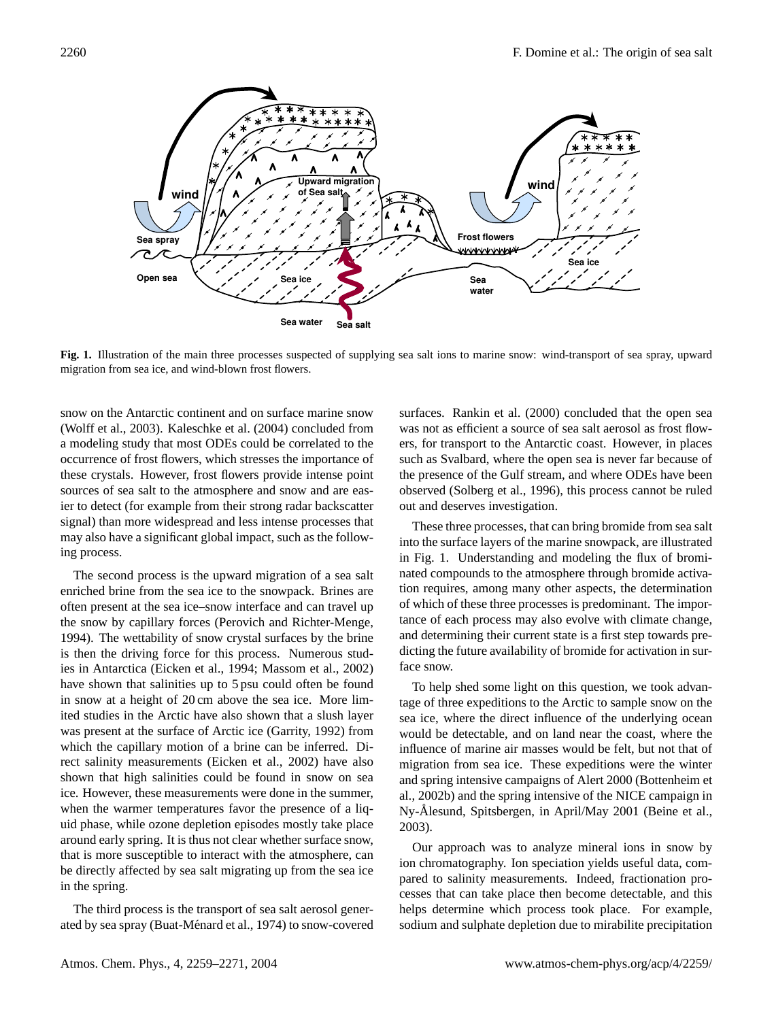

**Fig. 1.** Illustration of the main three processes suspected of supplying sea salt ions to marine snow: wind-transport of sea spray, upward migration from sea ice, and wind-blown frost flowers.

snow on the Antarctic continent and on surface marine snow (Wolff et al., 2003). Kaleschke et al. (2004) concluded from a modeling study that most ODEs could be correlated to the occurrence of frost flowers, which stresses the importance of these crystals. However, frost flowers provide intense point sources of sea salt to the atmosphere and snow and are easier to detect (for example from their strong radar backscatter signal) than more widespread and less intense processes that may also have a significant global impact, such as the following process.

The second process is the upward migration of a sea salt enriched brine from the sea ice to the snowpack. Brines are often present at the sea ice–snow interface and can travel up the snow by capillary forces (Perovich and Richter-Menge, 1994). The wettability of snow crystal surfaces by the brine is then the driving force for this process. Numerous studies in Antarctica (Eicken et al., 1994; Massom et al., 2002) have shown that salinities up to 5 psu could often be found in snow at a height of 20 cm above the sea ice. More limited studies in the Arctic have also shown that a slush layer was present at the surface of Arctic ice (Garrity, 1992) from which the capillary motion of a brine can be inferred. Direct salinity measurements (Eicken et al., 2002) have also shown that high salinities could be found in snow on sea ice. However, these measurements were done in the summer, when the warmer temperatures favor the presence of a liquid phase, while ozone depletion episodes mostly take place around early spring. It is thus not clear whether surface snow, that is more susceptible to interact with the atmosphere, can be directly affected by sea salt migrating up from the sea ice in the spring.

The third process is the transport of sea salt aerosol generated by sea spray (Buat-Ménard et al., 1974) to snow-covered surfaces. Rankin et al. (2000) concluded that the open sea was not as efficient a source of sea salt aerosol as frost flowers, for transport to the Antarctic coast. However, in places such as Svalbard, where the open sea is never far because of the presence of the Gulf stream, and where ODEs have been observed (Solberg et al., 1996), this process cannot be ruled out and deserves investigation.

These three processes, that can bring bromide from sea salt into the surface layers of the marine snowpack, are illustrated in Fig. 1. Understanding and modeling the flux of brominated compounds to the atmosphere through bromide activation requires, among many other aspects, the determination of which of these three processes is predominant. The importance of each process may also evolve with climate change, and determining their current state is a first step towards predicting the future availability of bromide for activation in surface snow.

To help shed some light on this question, we took advantage of three expeditions to the Arctic to sample snow on the sea ice, where the direct influence of the underlying ocean would be detectable, and on land near the coast, where the influence of marine air masses would be felt, but not that of migration from sea ice. These expeditions were the winter and spring intensive campaigns of Alert 2000 (Bottenheim et al., 2002b) and the spring intensive of the NICE campaign in Ny-Ålesund, Spitsbergen, in April/May 2001 (Beine et al., 2003).

Our approach was to analyze mineral ions in snow by ion chromatography. Ion speciation yields useful data, compared to salinity measurements. Indeed, fractionation processes that can take place then become detectable, and this helps determine which process took place. For example, sodium and sulphate depletion due to mirabilite precipitation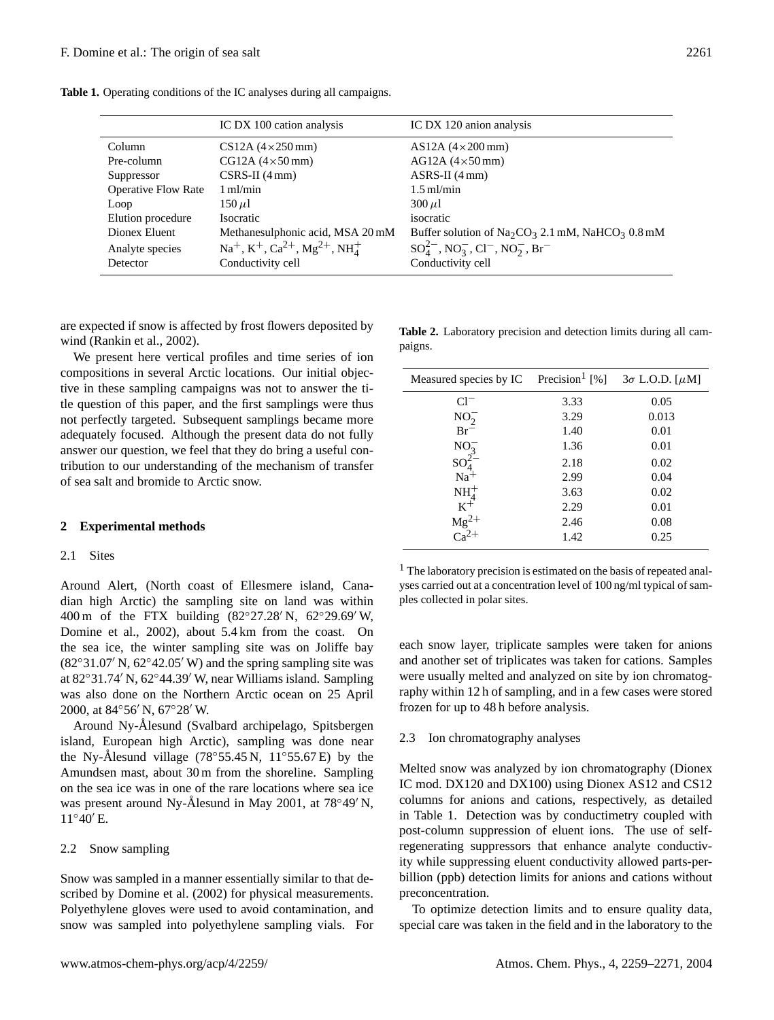|                            | IC DX 100 cation analysis                           | IC DX 120 anion analysis                                                             |
|----------------------------|-----------------------------------------------------|--------------------------------------------------------------------------------------|
| <b>Column</b>              | $CS12A (4\times250 \text{ mm})$                     | AS12A $(4\times200$ mm)                                                              |
| Pre-column                 | $CG12A (4 \times 50 \text{ mm})$                    | $AG12A (4 \times 50$ mm)                                                             |
| Suppressor                 | $CSRS-II (4 mm)$                                    | $ASRS-II (4 mm)$                                                                     |
| <b>Operative Flow Rate</b> | $1$ ml/min                                          | $1.5$ ml/min                                                                         |
| Loop                       | $150 \,\mu$ l                                       | $300 \mu l$                                                                          |
| Elution procedure          | Isocratic                                           | isocratic                                                                            |
| Dionex Eluent              | Methanesulphonic acid, MSA 20 mM                    | Buffer solution of Na <sub>2</sub> CO <sub>3</sub> 2.1 mM, NaHCO <sub>3</sub> 0.8 mM |
| Analyte species            | $Na^{+}$ , $K^{+}$ , $Ca^{2+}$ , $Mg^{2+}$ , $NH4+$ | $SO_4^{2-}$ , NO <sub>3</sub> , Cl <sup>-</sup> , NO <sub>2</sub> , Br <sup>-</sup>  |
| Detector                   | Conductivity cell                                   | Conductivity cell                                                                    |

**Table 1.** Operating conditions of the IC analyses during all campaigns.

are expected if snow is affected by frost flowers deposited by wind (Rankin et al., 2002).

We present here vertical profiles and time series of ion compositions in several Arctic locations. Our initial objective in these sampling campaigns was not to answer the title question of this paper, and the first samplings were thus not perfectly targeted. Subsequent samplings became more adequately focused. Although the present data do not fully answer our question, we feel that they do bring a useful contribution to our understanding of the mechanism of transfer of sea salt and bromide to Arctic snow.

# **2 Experimental methods**

# 2.1 Sites

Around Alert, (North coast of Ellesmere island, Canadian high Arctic) the sampling site on land was within 400 m of the FTX building  $(82°27.28' N, 62°29.69' W,$ Domine et al., 2002), about 5.4 km from the coast. On the sea ice, the winter sampling site was on Joliffe bay  $(82°31.07' N, 62°42.05' W)$  and the spring sampling site was at  $82°31.74'$  N,  $62°44.39'$  W, near Williams island. Sampling was also done on the Northern Arctic ocean on 25 April 2000, at  $84°56'$  N,  $67°28'$  W.

Around Ny-Ålesund (Svalbard archipelago, Spitsbergen island, European high Arctic), sampling was done near the Ny-Ålesund village  $(78°55.45 \text{ N}, 11°55.67 \text{ E})$  by the Amundsen mast, about 30 m from the shoreline. Sampling on the sea ice was in one of the rare locations where sea ice was present around Ny-Ålesund in May 2001, at 78°49' N,  $11°40'E$ .

#### 2.2 Snow sampling

Snow was sampled in a manner essentially similar to that described by Domine et al. (2002) for physical measurements. Polyethylene gloves were used to avoid contamination, and snow was sampled into polyethylene sampling vials. For

**Table 2.** Laboratory precision and detection limits during all campaigns.

| Measured species by IC Precision <sup>1</sup> [%] |      | $3\sigma$ L.O.D. [ $\mu$ M] |
|---------------------------------------------------|------|-----------------------------|
| $Cl^-$                                            | 3.33 | 0.05                        |
| $NO_2^-$                                          | 3.29 | 0.013                       |
| $Br^2$                                            | 1.40 | 0.01                        |
| $NO_3^-$                                          | 1.36 | 0.01                        |
| $SO_4^{2-}$ Na <sup>+</sup>                       | 2.18 | 0.02                        |
|                                                   | 2.99 | 0.04                        |
| $NH_4^+$<br>$K^+$                                 | 3.63 | 0.02                        |
|                                                   | 2.29 | 0.01                        |
| $\frac{Mg^{2+}}{Ca^{2+}}$                         | 2.46 | 0.08                        |
|                                                   | 1.42 | 0.25                        |

<sup>1</sup> The laboratory precision is estimated on the basis of repeated analyses carried out at a concentration level of 100 ng/ml typical of samples collected in polar sites.

each snow layer, triplicate samples were taken for anions and another set of triplicates was taken for cations. Samples were usually melted and analyzed on site by ion chromatography within 12 h of sampling, and in a few cases were stored frozen for up to 48 h before analysis.

## 2.3 Ion chromatography analyses

Melted snow was analyzed by ion chromatography (Dionex IC mod. DX120 and DX100) using Dionex AS12 and CS12 columns for anions and cations, respectively, as detailed in Table 1. Detection was by conductimetry coupled with post-column suppression of eluent ions. The use of selfregenerating suppressors that enhance analyte conductivity while suppressing eluent conductivity allowed parts-perbillion (ppb) detection limits for anions and cations without preconcentration.

To optimize detection limits and to ensure quality data, special care was taken in the field and in the laboratory to the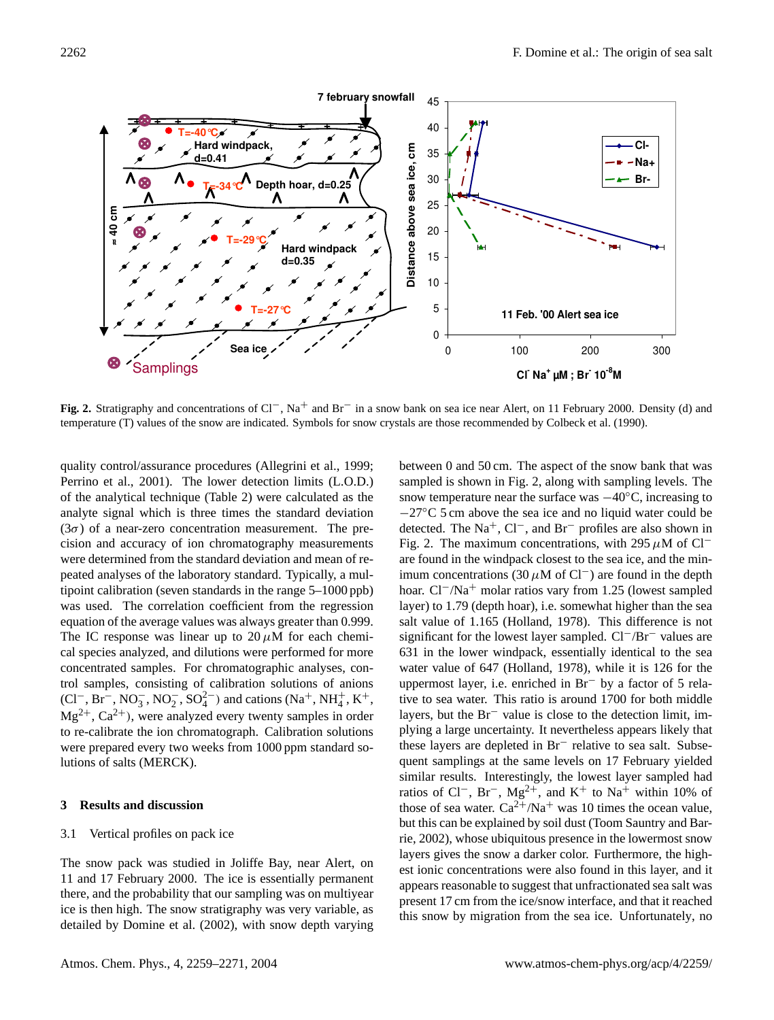

**Fig. 2.** Stratigraphy and concentrations of Cl<sup>−</sup>, Na<sup>+</sup> and Br<sup>−</sup> in a snow bank on sea ice near Alert, on 11 February 2000. Density (d) and temperature (T) values of the snow are indicated. Symbols for snow crystals are those recommended by Colbeck et al. (1990).

quality control/assurance procedures (Allegrini et al., 1999; Perrino et al., 2001). The lower detection limits (L.O.D.) of the analytical technique (Table 2) were calculated as the analyte signal which is three times the standard deviation  $(3\sigma)$  of a near-zero concentration measurement. The precision and accuracy of ion chromatography measurements were determined from the standard deviation and mean of repeated analyses of the laboratory standard. Typically, a multipoint calibration (seven standards in the range 5–1000 ppb) was used. The correlation coefficient from the regression equation of the average values was always greater than 0.999. The IC response was linear up to  $20 \mu$ M for each chemical species analyzed, and dilutions were performed for more concentrated samples. For chromatographic analyses, control samples, consisting of calibration solutions of anions  $(Cl^-, Br^-, NO_3^-, NO_2^-, SO_4^{2-})$  and cations  $(Na^+, NH_4^+, K^+,$  $Mg^{2+}$ , Ca<sup>2+</sup>), were analyzed every twenty samples in order to re-calibrate the ion chromatograph. Calibration solutions were prepared every two weeks from 1000 ppm standard solutions of salts (MERCK).

## **3 Results and discussion**

#### 3.1 Vertical profiles on pack ice

The snow pack was studied in Joliffe Bay, near Alert, on 11 and 17 February 2000. The ice is essentially permanent there, and the probability that our sampling was on multiyear ice is then high. The snow stratigraphy was very variable, as detailed by Domine et al. (2002), with snow depth varying between 0 and 50 cm. The aspect of the snow bank that was sampled is shown in Fig. 2, along with sampling levels. The snow temperature near the surface was −40◦C, increasing to −27◦C 5 cm above the sea ice and no liquid water could be detected. The Na<sup>+</sup>, Cl<sup>−</sup>, and Br<sup>−</sup> profiles are also shown in Fig. 2. The maximum concentrations, with 295  $\mu$ M of Cl<sup>−</sup> are found in the windpack closest to the sea ice, and the minimum concentrations (30  $\mu$ M of Cl<sup>−</sup>) are found in the depth hoar. Cl−/Na<sup>+</sup> molar ratios vary from 1.25 (lowest sampled layer) to 1.79 (depth hoar), i.e. somewhat higher than the sea salt value of 1.165 (Holland, 1978). This difference is not significant for the lowest layer sampled. Cl−/Br<sup>−</sup> values are 631 in the lower windpack, essentially identical to the sea water value of 647 (Holland, 1978), while it is 126 for the uppermost layer, i.e. enriched in Br<sup>−</sup> by a factor of 5 relative to sea water. This ratio is around 1700 for both middle layers, but the Br<sup>−</sup> value is close to the detection limit, implying a large uncertainty. It nevertheless appears likely that these layers are depleted in Br<sup>−</sup> relative to sea salt. Subsequent samplings at the same levels on 17 February yielded similar results. Interestingly, the lowest layer sampled had ratios of Cl<sup>−</sup>, Br<sup>−</sup>, Mg<sup>2+</sup>, and K<sup>+</sup> to Na<sup>+</sup> within 10% of those of sea water.  $Ca^{2+}/Na^{+}$  was 10 times the ocean value, but this can be explained by soil dust (Toom Sauntry and Barrie, 2002), whose ubiquitous presence in the lowermost snow layers gives the snow a darker color. Furthermore, the highest ionic concentrations were also found in this layer, and it appears reasonable to suggest that unfractionated sea salt was present 17 cm from the ice/snow interface, and that it reached this snow by migration from the sea ice. Unfortunately, no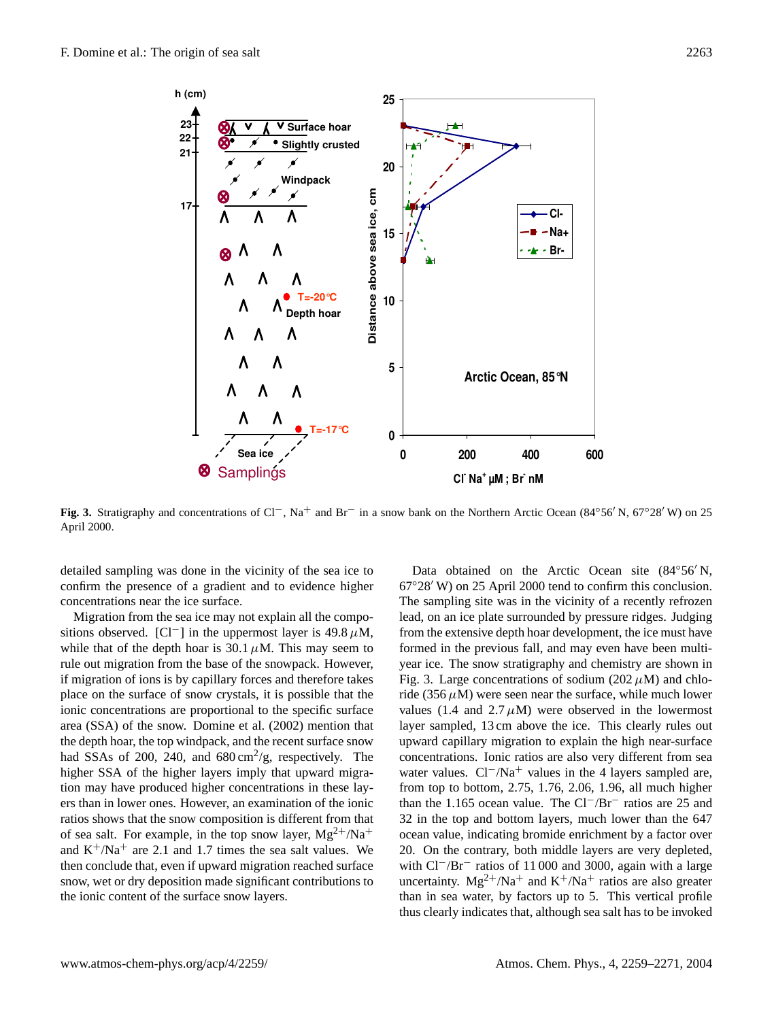

**Fig. 3.** Stratigraphy and concentrations of Cl<sup>−</sup>, Na<sup>+</sup> and Br<sup>−</sup> in a snow bank on the Northern Arctic Ocean (84°56' N, 67°28' W) on 25 April 2000.

detailed sampling was done in the vicinity of the sea ice to confirm the presence of a gradient and to evidence higher concentrations near the ice surface.

Migration from the sea ice may not explain all the compositions observed. [Cl<sup>−</sup>] in the uppermost layer is 49.8  $\mu$ M, while that of the depth hoar is  $30.1 \mu M$ . This may seem to rule out migration from the base of the snowpack. However, if migration of ions is by capillary forces and therefore takes place on the surface of snow crystals, it is possible that the ionic concentrations are proportional to the specific surface area (SSA) of the snow. Domine et al. (2002) mention that the depth hoar, the top windpack, and the recent surface snow had SSAs of 200, 240, and  $680 \text{ cm}^2/\text{g}$ , respectively. The higher SSA of the higher layers imply that upward migration may have produced higher concentrations in these layers than in lower ones. However, an examination of the ionic ratios shows that the snow composition is different from that of sea salt. For example, in the top snow layer,  $Mg^{2+}/Na^{+}$ and  $K^+/Na^+$  are 2.1 and 1.7 times the sea salt values. We then conclude that, even if upward migration reached surface snow, wet or dry deposition made significant contributions to the ionic content of the surface snow layers.

Data obtained on the Arctic Ocean site  $(84°56'N,$  $67^{\circ}28'$  W) on 25 April 2000 tend to confirm this conclusion. The sampling site was in the vicinity of a recently refrozen lead, on an ice plate surrounded by pressure ridges. Judging from the extensive depth hoar development, the ice must have formed in the previous fall, and may even have been multiyear ice. The snow stratigraphy and chemistry are shown in Fig. 3. Large concentrations of sodium (202  $\mu$ M) and chloride (356 $\mu$ M) were seen near the surface, while much lower values (1.4 and  $2.7 \mu M$ ) were observed in the lowermost layer sampled, 13 cm above the ice. This clearly rules out upward capillary migration to explain the high near-surface concentrations. Ionic ratios are also very different from sea water values.  $Cl^-/Na^+$  values in the 4 layers sampled are, from top to bottom, 2.75, 1.76, 2.06, 1.96, all much higher than the 1.165 ocean value. The Cl−/Br<sup>−</sup> ratios are 25 and 32 in the top and bottom layers, much lower than the 647 ocean value, indicating bromide enrichment by a factor over 20. On the contrary, both middle layers are very depleted, with Cl−/Br<sup>−</sup> ratios of 11 000 and 3000, again with a large uncertainty.  $Mg^{2+}/Na^{+}$  and  $K^{+}/Na^{+}$  ratios are also greater than in sea water, by factors up to 5. This vertical profile thus clearly indicates that, although sea salt has to be invoked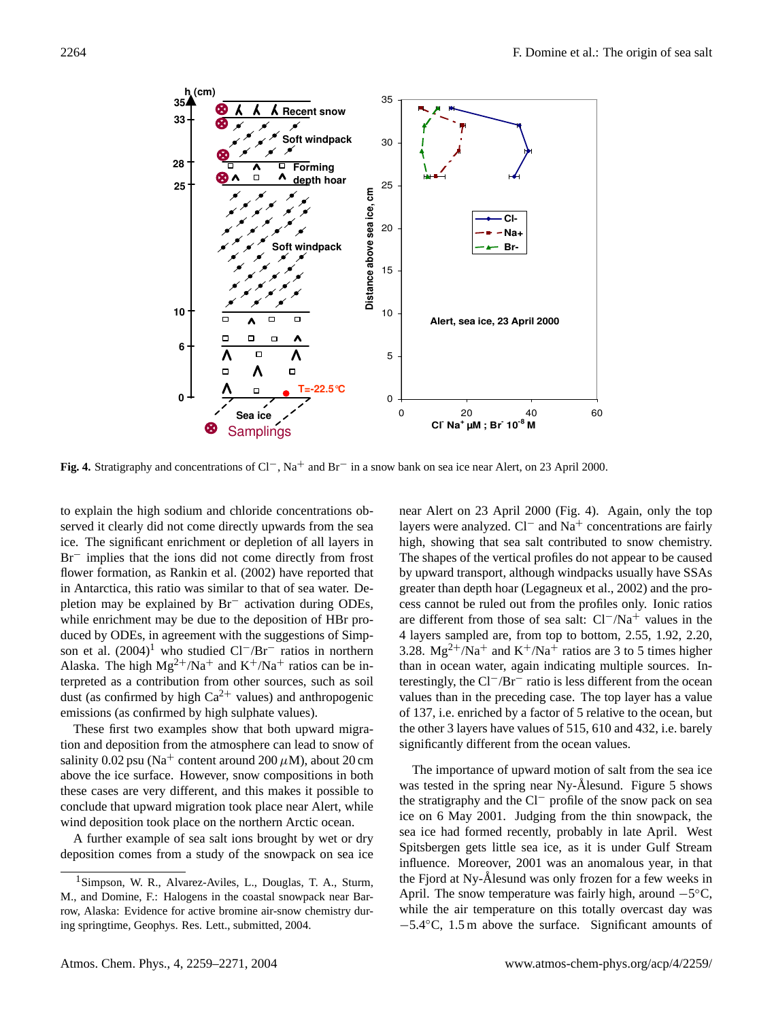

**Fig. 4.** Stratigraphy and concentrations of Cl−, Na<sup>+</sup> and Br<sup>−</sup> in a snow bank on sea ice near Alert, on 23 April 2000.

to explain the high sodium and chloride concentrations observed it clearly did not come directly upwards from the sea ice. The significant enrichment or depletion of all layers in Br<sup>−</sup> implies that the ions did not come directly from frost flower formation, as Rankin et al. (2002) have reported that in Antarctica, this ratio was similar to that of sea water. Depletion may be explained by Br<sup>−</sup> activation during ODEs, while enrichment may be due to the deposition of HBr produced by ODEs, in agreement with the suggestions of Simpson et al.  $(2004)^1$  $(2004)^1$  who studied Cl<sup>−</sup>/Br<sup>−</sup> ratios in northern Alaska. The high  $Mg^{2+}/Na^{+}$  and  $K^{+}/Na^{+}$  ratios can be interpreted as a contribution from other sources, such as soil dust (as confirmed by high  $Ca^{2+}$  values) and anthropogenic emissions (as confirmed by high sulphate values).

These first two examples show that both upward migration and deposition from the atmosphere can lead to snow of salinity 0.02 psu (Na<sup>+</sup> content around 200  $\mu$ M), about 20 cm above the ice surface. However, snow compositions in both these cases are very different, and this makes it possible to conclude that upward migration took place near Alert, while wind deposition took place on the northern Arctic ocean.

A further example of sea salt ions brought by wet or dry deposition comes from a study of the snowpack on sea ice near Alert on 23 April 2000 (Fig. 4). Again, only the top layers were analyzed. Cl<sup>−</sup> and Na<sup>+</sup> concentrations are fairly high, showing that sea salt contributed to snow chemistry. The shapes of the vertical profiles do not appear to be caused by upward transport, although windpacks usually have SSAs greater than depth hoar (Legagneux et al., 2002) and the process cannot be ruled out from the profiles only. Ionic ratios are different from those of sea salt: Cl−/Na<sup>+</sup> values in the 4 layers sampled are, from top to bottom, 2.55, 1.92, 2.20, 3.28.  $Mg^{2+}/Na^{+}$  and  $K^{+}/Na^{+}$  ratios are 3 to 5 times higher than in ocean water, again indicating multiple sources. Interestingly, the Cl−/Br<sup>−</sup> ratio is less different from the ocean values than in the preceding case. The top layer has a value of 137, i.e. enriched by a factor of 5 relative to the ocean, but the other 3 layers have values of 515, 610 and 432, i.e. barely significantly different from the ocean values.

The importance of upward motion of salt from the sea ice was tested in the spring near Ny- $\AA$ lesund. Figure 5 shows the stratigraphy and the Cl<sup>−</sup> profile of the snow pack on sea ice on 6 May 2001. Judging from the thin snowpack, the sea ice had formed recently, probably in late April. West Spitsbergen gets little sea ice, as it is under Gulf Stream influence. Moreover, 2001 was an anomalous year, in that the Fjord at Ny-Ålesund was only frozen for a few weeks in April. The snow temperature was fairly high, around −5 ◦C, while the air temperature on this totally overcast day was −5.4◦C, 1.5 m above the surface. Significant amounts of

<span id="page-5-0"></span><sup>&</sup>lt;sup>1</sup>Simpson, W. R., Alvarez-Aviles, L., Douglas, T. A., Sturm, M., and Domine, F.: Halogens in the coastal snowpack near Barrow, Alaska: Evidence for active bromine air-snow chemistry during springtime, Geophys. Res. Lett., submitted, 2004.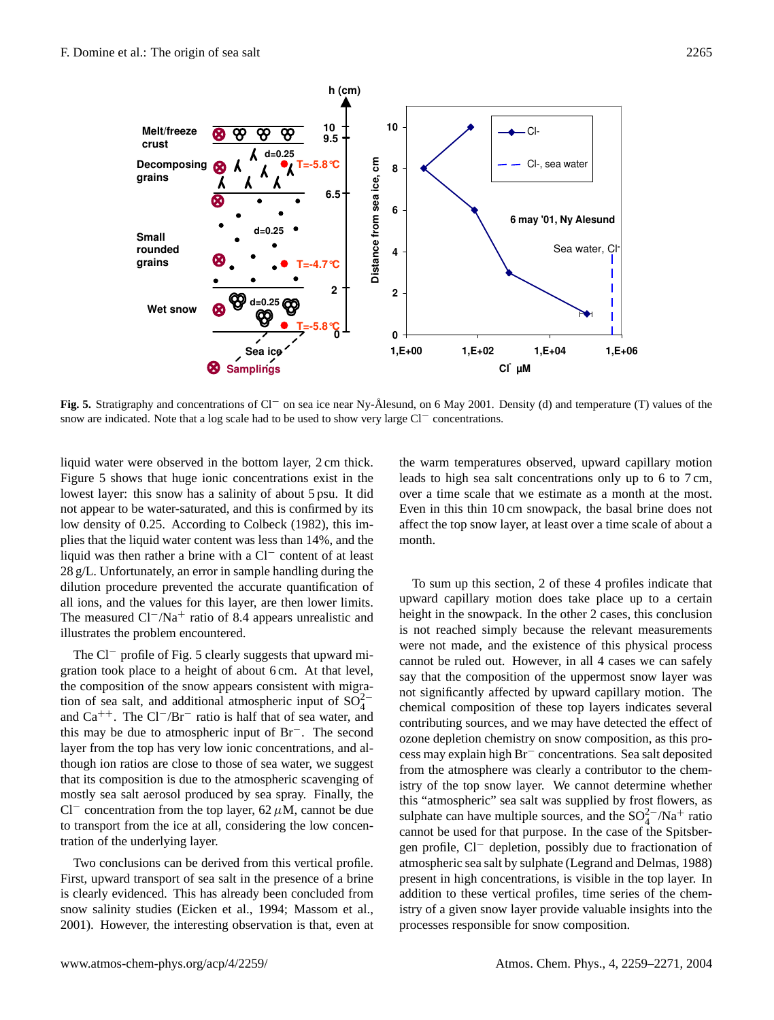

**Fig. 5.** Stratigraphy and concentrations of Cl<sup>−</sup> on sea ice near Ny-Ålesund, on 6 May 2001. Density (d) and temperature (T) values of the snow are indicated. Note that a log scale had to be used to show very large Cl<sup>−</sup> concentrations.

liquid water were observed in the bottom layer, 2 cm thick. Figure 5 shows that huge ionic concentrations exist in the lowest layer: this snow has a salinity of about 5 psu. It did not appear to be water-saturated, and this is confirmed by its low density of 0.25. According to Colbeck (1982), this implies that the liquid water content was less than 14%, and the liquid was then rather a brine with a Cl<sup>−</sup> content of at least 28 g/L. Unfortunately, an error in sample handling during the dilution procedure prevented the accurate quantification of all ions, and the values for this layer, are then lower limits. The measured Cl<sup>−</sup>/Na<sup>+</sup> ratio of 8.4 appears unrealistic and illustrates the problem encountered.

The Cl<sup>−</sup> profile of Fig. 5 clearly suggests that upward migration took place to a height of about 6 cm. At that level, the composition of the snow appears consistent with migration of sea salt, and additional atmospheric input of  $SO_4^{2-}$ and  $Ca^{++}$ . The Cl<sup>−</sup>/Br<sup>−</sup> ratio is half that of sea water, and this may be due to atmospheric input of Br−. The second layer from the top has very low ionic concentrations, and although ion ratios are close to those of sea water, we suggest that its composition is due to the atmospheric scavenging of mostly sea salt aerosol produced by sea spray. Finally, the Cl<sup>−</sup> concentration from the top layer, 62  $\mu$ M, cannot be due to transport from the ice at all, considering the low concentration of the underlying layer.

Two conclusions can be derived from this vertical profile. First, upward transport of sea salt in the presence of a brine is clearly evidenced. This has already been concluded from snow salinity studies (Eicken et al., 1994; Massom et al., 2001). However, the interesting observation is that, even at the warm temperatures observed, upward capillary motion leads to high sea salt concentrations only up to 6 to 7 cm, over a time scale that we estimate as a month at the most. Even in this thin 10 cm snowpack, the basal brine does not affect the top snow layer, at least over a time scale of about a month.

To sum up this section, 2 of these 4 profiles indicate that upward capillary motion does take place up to a certain height in the snowpack. In the other 2 cases, this conclusion is not reached simply because the relevant measurements were not made, and the existence of this physical process cannot be ruled out. However, in all 4 cases we can safely say that the composition of the uppermost snow layer was not significantly affected by upward capillary motion. The chemical composition of these top layers indicates several contributing sources, and we may have detected the effect of ozone depletion chemistry on snow composition, as this process may explain high Br<sup>−</sup> concentrations. Sea salt deposited from the atmosphere was clearly a contributor to the chemistry of the top snow layer. We cannot determine whether this "atmospheric" sea salt was supplied by frost flowers, as sulphate can have multiple sources, and the  $SO_4^{2-}/Na^+$  ratio cannot be used for that purpose. In the case of the Spitsbergen profile, Cl<sup>−</sup> depletion, possibly due to fractionation of atmospheric sea salt by sulphate (Legrand and Delmas, 1988) present in high concentrations, is visible in the top layer. In addition to these vertical profiles, time series of the chemistry of a given snow layer provide valuable insights into the processes responsible for snow composition.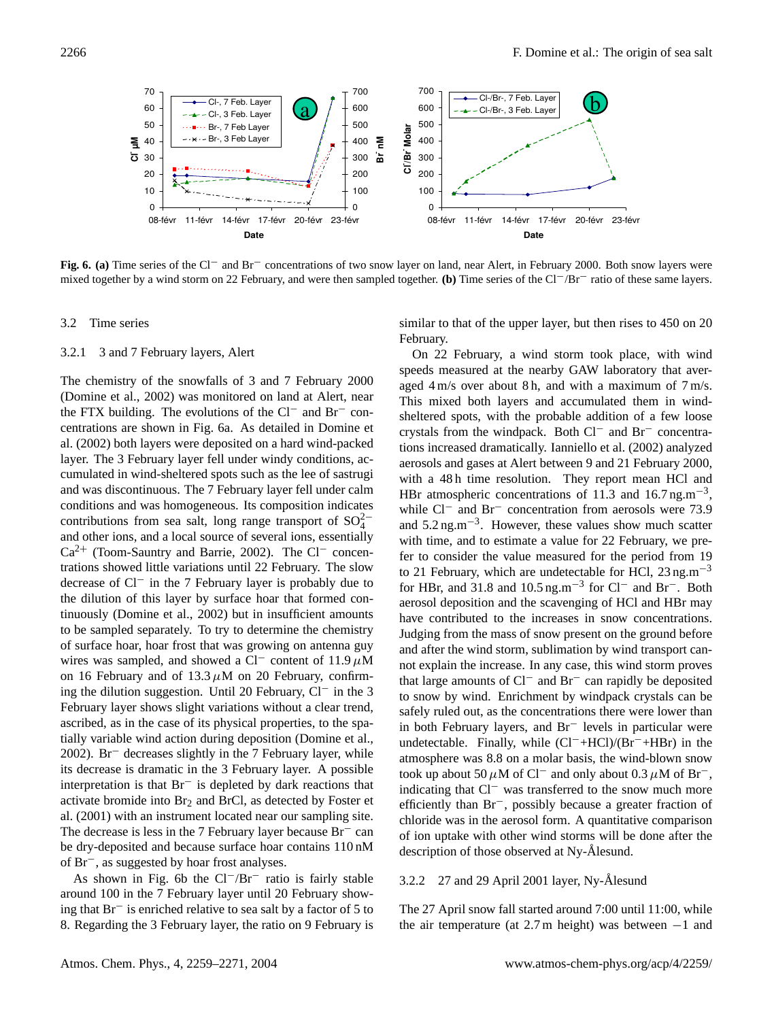

**Fig. 6. (a)** Time series of the Cl<sup>−</sup> and Br<sup>−</sup> concentrations of two snow layer on land, near Alert, in February 2000. Both snow layers were mixed together by a wind storm on 22 February, and were then sampled together. **(b)** Time series of the Cl−/Br<sup>−</sup> ratio of these same layers.

3.2 Time series

#### 3.2.1 3 and 7 February layers, Alert

The chemistry of the snowfalls of 3 and 7 February 2000 (Domine et al., 2002) was monitored on land at Alert, near the FTX building. The evolutions of the Cl<sup>−</sup> and Br<sup>−</sup> concentrations are shown in Fig. 6a. As detailed in Domine et al. (2002) both layers were deposited on a hard wind-packed layer. The 3 February layer fell under windy conditions, accumulated in wind-sheltered spots such as the lee of sastrugi and was discontinuous. The 7 February layer fell under calm conditions and was homogeneous. Its composition indicates contributions from sea salt, long range transport of  $SO_4^{2-}$ and other ions, and a local source of several ions, essentially  $Ca^{2+}$  (Toom-Sauntry and Barrie, 2002). The Cl<sup>−</sup> concentrations showed little variations until 22 February. The slow decrease of Cl<sup>−</sup> in the 7 February layer is probably due to the dilution of this layer by surface hoar that formed continuously (Domine et al., 2002) but in insufficient amounts to be sampled separately. To try to determine the chemistry of surface hoar, hoar frost that was growing on antenna guy wires was sampled, and showed a Cl<sup>−</sup> content of 11.9  $\mu$ M on 16 February and of 13.3  $\mu$ M on 20 February, confirming the dilution suggestion. Until 20 February, Cl<sup>−</sup> in the 3 February layer shows slight variations without a clear trend, ascribed, as in the case of its physical properties, to the spatially variable wind action during deposition (Domine et al., 2002). Br<sup>−</sup> decreases slightly in the 7 February layer, while its decrease is dramatic in the 3 February layer. A possible interpretation is that Br<sup>−</sup> is depleted by dark reactions that activate bromide into  $Br<sub>2</sub>$  and BrCl, as detected by Foster et al. (2001) with an instrument located near our sampling site. The decrease is less in the 7 February layer because Br<sup>−</sup> can be dry-deposited and because surface hoar contains 110 nM of Br−, as suggested by hoar frost analyses.

As shown in Fig. 6b the Cl−/Br<sup>−</sup> ratio is fairly stable around 100 in the 7 February layer until 20 February showing that Br<sup>−</sup> is enriched relative to sea salt by a factor of 5 to 8. Regarding the 3 February layer, the ratio on 9 February is similar to that of the upper layer, but then rises to 450 on 20 February.

On 22 February, a wind storm took place, with wind speeds measured at the nearby GAW laboratory that averaged 4 m/s over about 8 h, and with a maximum of 7 m/s. This mixed both layers and accumulated them in windsheltered spots, with the probable addition of a few loose crystals from the windpack. Both Cl<sup>−</sup> and Br<sup>−</sup> concentrations increased dramatically. Ianniello et al. (2002) analyzed aerosols and gases at Alert between 9 and 21 February 2000, with a 48h time resolution. They report mean HCl and HBr atmospheric concentrations of 11.3 and 16.7 ng.m−<sup>3</sup> , while Cl<sup>−</sup> and Br<sup>−</sup> concentration from aerosols were 73.9 and 5.2 ng.m−<sup>3</sup> . However, these values show much scatter with time, and to estimate a value for 22 February, we prefer to consider the value measured for the period from 19 to 21 February, which are undetectable for HCl,  $23 \text{ ng.m}^{-3}$ for HBr, and 31.8 and  $10.5$  ng.m<sup>-3</sup> for Cl<sup>−</sup> and Br<sup>−</sup>. Both aerosol deposition and the scavenging of HCl and HBr may have contributed to the increases in snow concentrations. Judging from the mass of snow present on the ground before and after the wind storm, sublimation by wind transport cannot explain the increase. In any case, this wind storm proves that large amounts of Cl<sup>−</sup> and Br<sup>−</sup> can rapidly be deposited to snow by wind. Enrichment by windpack crystals can be safely ruled out, as the concentrations there were lower than in both February layers, and Br<sup>−</sup> levels in particular were undetectable. Finally, while (Cl−+HCl)/(Br−+HBr) in the atmosphere was 8.8 on a molar basis, the wind-blown snow took up about 50  $\mu$ M of Cl<sup>−</sup> and only about 0.3  $\mu$ M of Br<sup>−</sup>, indicating that Cl<sup>−</sup> was transferred to the snow much more efficiently than Br−, possibly because a greater fraction of chloride was in the aerosol form. A quantitative comparison of ion uptake with other wind storms will be done after the description of those observed at Ny-Ålesund.

## 3.2.2  $27$  and 29 April 2001 layer, Ny-Ålesund

The 27 April snow fall started around 7:00 until 11:00, while the air temperature (at  $2.7$  m height) was between  $-1$  and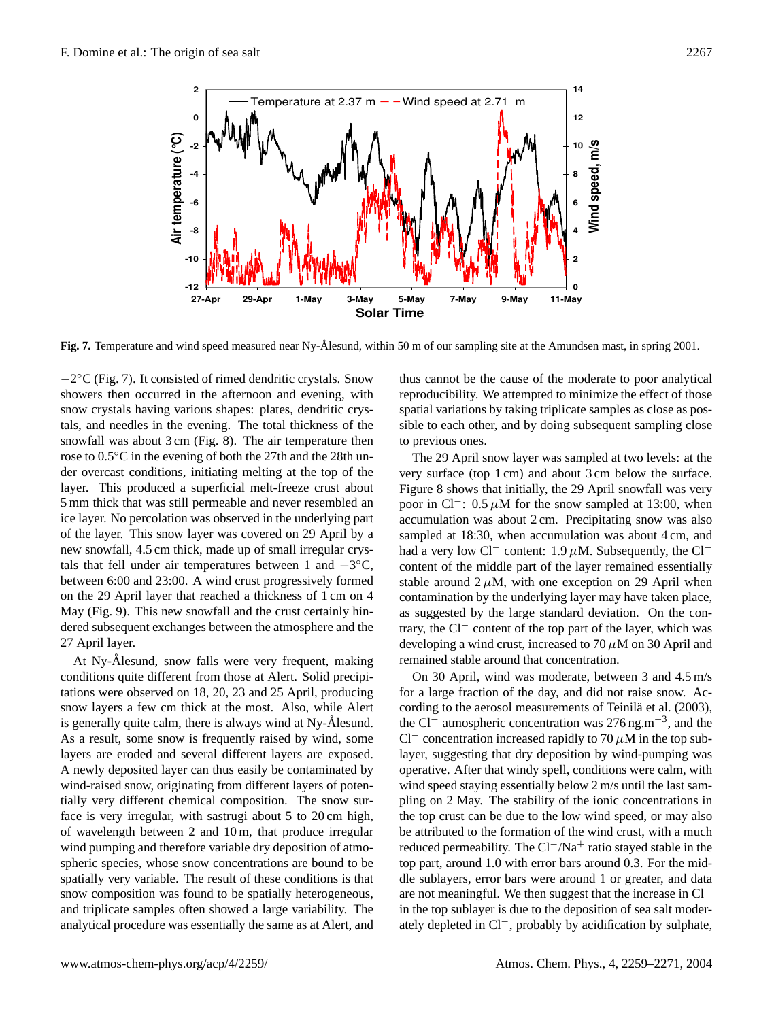

**Fig. 7.** Temperature and wind speed measured near Ny-Ålesund, within 50 m of our sampling site at the Amundsen mast, in spring 2001.

−2 ◦C (Fig. 7). It consisted of rimed dendritic crystals. Snow showers then occurred in the afternoon and evening, with snow crystals having various shapes: plates, dendritic crystals, and needles in the evening. The total thickness of the snowfall was about 3 cm (Fig. 8). The air temperature then rose to 0.5◦C in the evening of both the 27th and the 28th under overcast conditions, initiating melting at the top of the layer. This produced a superficial melt-freeze crust about 5 mm thick that was still permeable and never resembled an ice layer. No percolation was observed in the underlying part of the layer. This snow layer was covered on 29 April by a new snowfall, 4.5 cm thick, made up of small irregular crystals that fell under air temperatures between 1 and  $-3^{\circ}$ C, between 6:00 and 23:00. A wind crust progressively formed on the 29 April layer that reached a thickness of 1 cm on 4 May (Fig. 9). This new snowfall and the crust certainly hindered subsequent exchanges between the atmosphere and the 27 April layer.

At Ny-Ålesund, snow falls were very frequent, making conditions quite different from those at Alert. Solid precipitations were observed on 18, 20, 23 and 25 April, producing snow layers a few cm thick at the most. Also, while Alert is generally quite calm, there is always wind at Ny-Alesund. As a result, some snow is frequently raised by wind, some layers are eroded and several different layers are exposed. A newly deposited layer can thus easily be contaminated by wind-raised snow, originating from different layers of potentially very different chemical composition. The snow surface is very irregular, with sastrugi about 5 to 20 cm high, of wavelength between 2 and 10 m, that produce irregular wind pumping and therefore variable dry deposition of atmospheric species, whose snow concentrations are bound to be spatially very variable. The result of these conditions is that snow composition was found to be spatially heterogeneous, and triplicate samples often showed a large variability. The analytical procedure was essentially the same as at Alert, and thus cannot be the cause of the moderate to poor analytical reproducibility. We attempted to minimize the effect of those spatial variations by taking triplicate samples as close as possible to each other, and by doing subsequent sampling close to previous ones.

The 29 April snow layer was sampled at two levels: at the very surface (top 1 cm) and about 3 cm below the surface. Figure 8 shows that initially, the 29 April snowfall was very poor in Cl<sup>−</sup>: 0.5  $\mu$ M for the snow sampled at 13:00, when accumulation was about 2 cm. Precipitating snow was also sampled at 18:30, when accumulation was about 4 cm, and had a very low Cl<sup>−</sup> content: 1.9  $\mu$ M. Subsequently, the Cl<sup>−</sup> content of the middle part of the layer remained essentially stable around  $2 \mu M$ , with one exception on 29 April when contamination by the underlying layer may have taken place, as suggested by the large standard deviation. On the contrary, the Cl<sup>−</sup> content of the top part of the layer, which was developing a wind crust, increased to  $70 \mu$ M on 30 April and remained stable around that concentration.

On 30 April, wind was moderate, between 3 and 4.5 m/s for a large fraction of the day, and did not raise snow. According to the aerosol measurements of Teinilä et al. (2003), the Cl<sup>−</sup> atmospheric concentration was 276 ng.m−<sup>3</sup> , and the Cl<sup>−</sup> concentration increased rapidly to 70  $\mu$ M in the top sublayer, suggesting that dry deposition by wind-pumping was operative. After that windy spell, conditions were calm, with wind speed staying essentially below 2 m/s until the last sampling on 2 May. The stability of the ionic concentrations in the top crust can be due to the low wind speed, or may also be attributed to the formation of the wind crust, with a much reduced permeability. The Cl−/Na<sup>+</sup> ratio stayed stable in the top part, around 1.0 with error bars around 0.3. For the middle sublayers, error bars were around 1 or greater, and data are not meaningful. We then suggest that the increase in Cl<sup>−</sup> in the top sublayer is due to the deposition of sea salt moderately depleted in Cl−, probably by acidification by sulphate,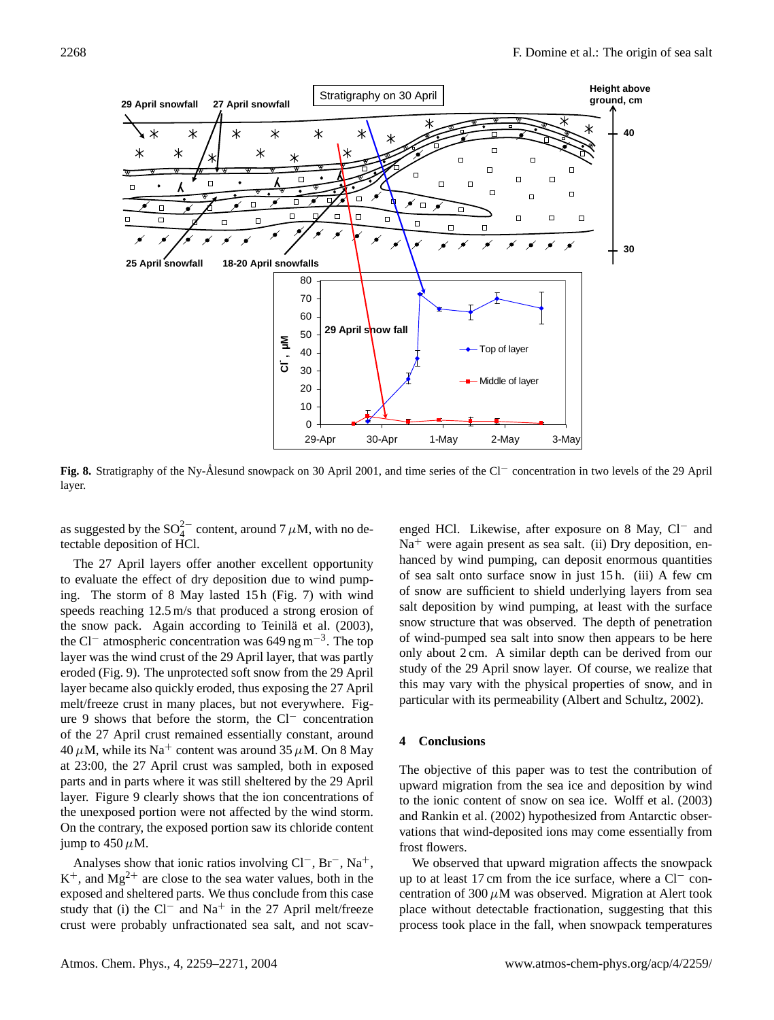

**Fig. 8.** Stratigraphy of the Ny-Ålesund snowpack on 30 April 2001, and time series of the Cl<sup>−</sup> concentration in two levels of the 29 April layer.

as suggested by the  $SO_4^{2-}$  content, around 7  $\mu$ M, with no detectable deposition of HCl.

The 27 April layers offer another excellent opportunity to evaluate the effect of dry deposition due to wind pumping. The storm of 8 May lasted 15 h (Fig. 7) with wind speeds reaching 12.5 m/s that produced a strong erosion of the snow pack. Again according to Teinilä et al. (2003), the Cl<sup>−</sup> atmospheric concentration was 649 ng m−<sup>3</sup> . The top layer was the wind crust of the 29 April layer, that was partly eroded (Fig. 9). The unprotected soft snow from the 29 April layer became also quickly eroded, thus exposing the 27 April melt/freeze crust in many places, but not everywhere. Figure 9 shows that before the storm, the Cl<sup>−</sup> concentration of the 27 April crust remained essentially constant, around 40  $\mu$ M, while its Na<sup>+</sup> content was around 35  $\mu$ M. On 8 May at 23:00, the 27 April crust was sampled, both in exposed parts and in parts where it was still sheltered by the 29 April layer. Figure 9 clearly shows that the ion concentrations of the unexposed portion were not affected by the wind storm. On the contrary, the exposed portion saw its chloride content jump to  $450 \mu$ M.

Analyses show that ionic ratios involving Cl−, Br−, Na+,  $K^+$ , and  $Mg^{2+}$  are close to the sea water values, both in the exposed and sheltered parts. We thus conclude from this case study that (i) the  $Cl^-$  and Na<sup>+</sup> in the 27 April melt/freeze crust were probably unfractionated sea salt, and not scav-

enged HCl. Likewise, after exposure on 8 May, Cl<sup>−</sup> and  $Na<sup>+</sup>$  were again present as sea salt. (ii) Dry deposition, enhanced by wind pumping, can deposit enormous quantities of sea salt onto surface snow in just 15 h. (iii) A few cm of snow are sufficient to shield underlying layers from sea salt deposition by wind pumping, at least with the surface snow structure that was observed. The depth of penetration of wind-pumped sea salt into snow then appears to be here only about 2 cm. A similar depth can be derived from our study of the 29 April snow layer. Of course, we realize that this may vary with the physical properties of snow, and in particular with its permeability (Albert and Schultz, 2002).

#### **4 Conclusions**

The objective of this paper was to test the contribution of upward migration from the sea ice and deposition by wind to the ionic content of snow on sea ice. Wolff et al. (2003) and Rankin et al. (2002) hypothesized from Antarctic observations that wind-deposited ions may come essentially from frost flowers.

We observed that upward migration affects the snowpack up to at least 17 cm from the ice surface, where a Cl<sup>−</sup> concentration of 300  $\mu$ M was observed. Migration at Alert took place without detectable fractionation, suggesting that this process took place in the fall, when snowpack temperatures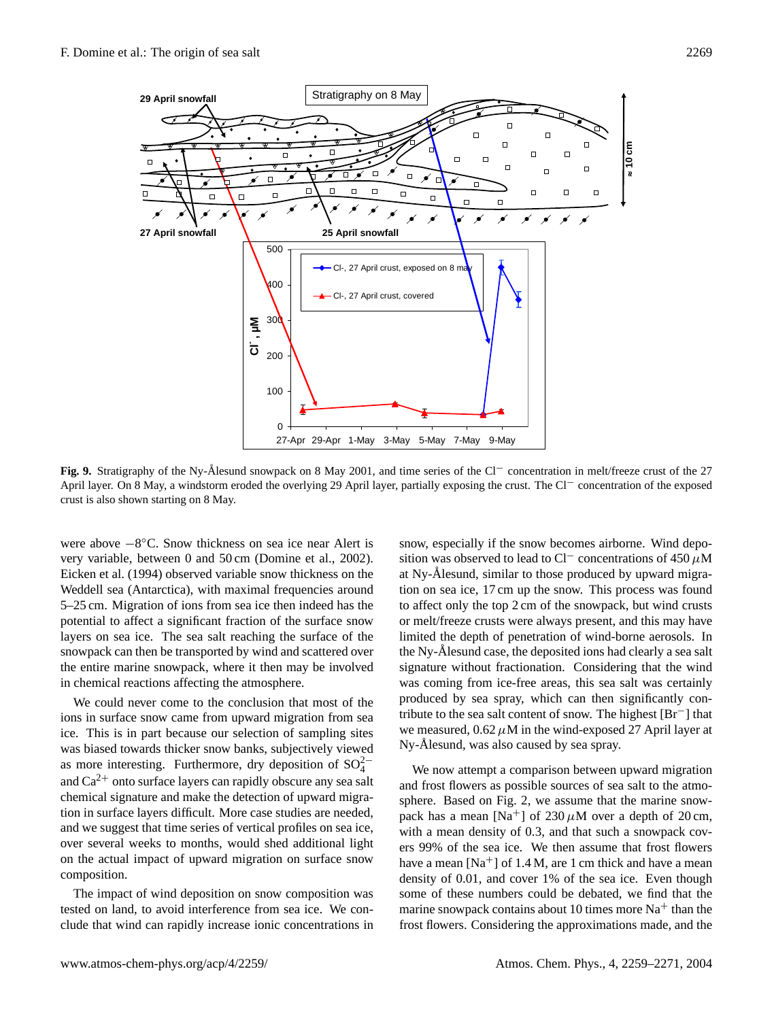

**Fig. 9.** Stratigraphy of the Ny-Ålesund snowpack on 8 May 2001, and time series of the Cl<sup>−</sup> concentration in melt/freeze crust of the 27 April layer. On 8 May, a windstorm eroded the overlying 29 April layer, partially exposing the crust. The Cl<sup>−</sup> concentration of the exposed crust is also shown starting on 8 May.

were above -8°C. Snow thickness on sea ice near Alert is very variable, between 0 and 50 cm (Domine et al., 2002). Eicken et al. (1994) observed variable snow thickness on the Weddell sea (Antarctica), with maximal frequencies around 5–25 cm. Migration of ions from sea ice then indeed has the potential to affect a significant fraction of the surface snow layers on sea ice. The sea salt reaching the surface of the snowpack can then be transported by wind and scattered over the entire marine snowpack, where it then may be involved in chemical reactions affecting the atmosphere.

We could never come to the conclusion that most of the ions in surface snow came from upward migration from sea ice. This is in part because our selection of sampling sites was biased towards thicker snow banks, subjectively viewed as more interesting. Furthermore, dry deposition of  $SO_4^{2-}$ and  $Ca^{2+}$  onto surface layers can rapidly obscure any sea salt chemical signature and make the detection of upward migration in surface layers difficult. More case studies are needed, and we suggest that time series of vertical profiles on sea ice, over several weeks to months, would shed additional light on the actual impact of upward migration on surface snow composition.

The impact of wind deposition on snow composition was tested on land, to avoid interference from sea ice. We conclude that wind can rapidly increase ionic concentrations in

snow, especially if the snow becomes airborne. Wind deposition was observed to lead to Cl<sup>−</sup> concentrations of 450  $\mu$ M at Ny-Ålesund, similar to those produced by upward migration on sea ice, 17 cm up the snow. This process was found to affect only the top 2 cm of the snowpack, but wind crusts or melt/freeze crusts were always present, and this may have limited the depth of penetration of wind-borne aerosols. In the Ny-Ålesund case, the deposited ions had clearly a sea salt signature without fractionation. Considering that the wind was coming from ice-free areas, this sea salt was certainly produced by sea spray, which can then significantly contribute to the sea salt content of snow. The highest [Br−] that we measured,  $0.62 \mu M$  in the wind-exposed 27 April layer at Ny-Ålesund, was also caused by sea spray.

We now attempt a comparison between upward migration and frost flowers as possible sources of sea salt to the atmosphere. Based on Fig. 2, we assume that the marine snowpack has a mean [Na<sup>+</sup>] of 230  $\mu$ M over a depth of 20 cm, with a mean density of 0.3, and that such a snowpack covers 99% of the sea ice. We then assume that frost flowers have a mean  $[Na^+]$  of 1.4 M, are 1 cm thick and have a mean density of 0.01, and cover 1% of the sea ice. Even though some of these numbers could be debated, we find that the marine snowpack contains about 10 times more  $Na<sup>+</sup>$  than the frost flowers. Considering the approximations made, and the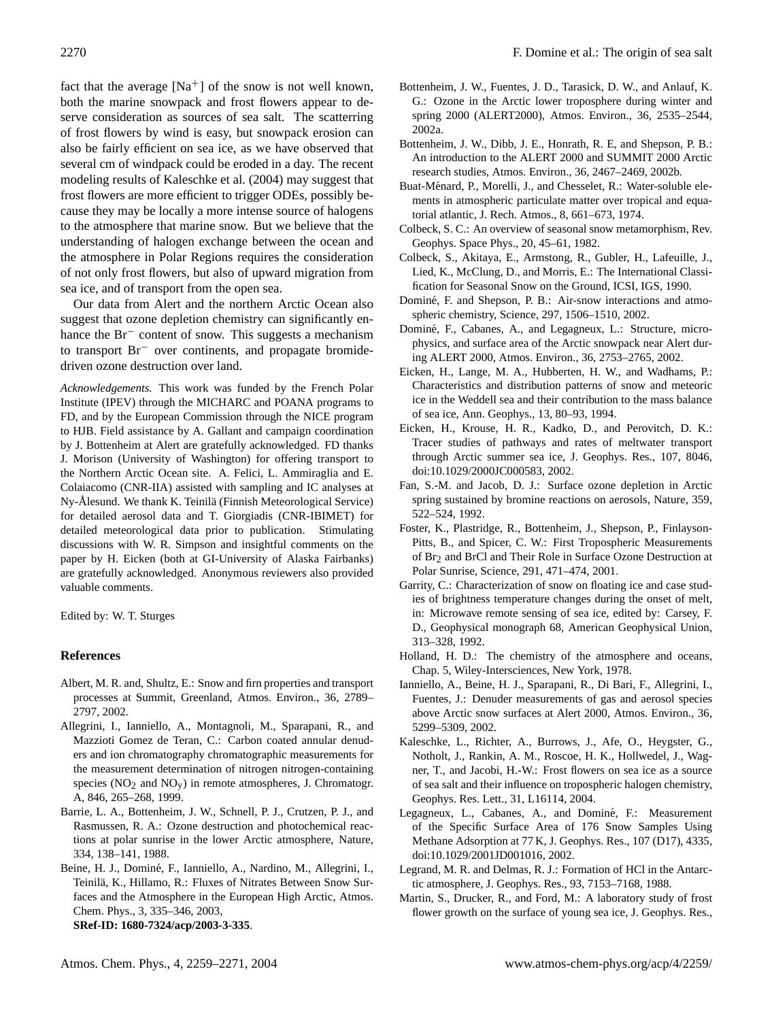fact that the average  $[Na^+]$  of the snow is not well known, both the marine snowpack and frost flowers appear to deserve consideration as sources of sea salt. The scatterring of frost flowers by wind is easy, but snowpack erosion can also be fairly efficient on sea ice, as we have observed that several cm of windpack could be eroded in a day. The recent modeling results of Kaleschke et al. (2004) may suggest that frost flowers are more efficient to trigger ODEs, possibly because they may be locally a more intense source of halogens to the atmosphere that marine snow. But we believe that the understanding of halogen exchange between the ocean and the atmosphere in Polar Regions requires the consideration of not only frost flowers, but also of upward migration from sea ice, and of transport from the open sea.

Our data from Alert and the northern Arctic Ocean also suggest that ozone depletion chemistry can significantly enhance the Br<sup>−</sup> content of snow. This suggests a mechanism to transport Br<sup>−</sup> over continents, and propagate bromidedriven ozone destruction over land.

*Acknowledgements.* This work was funded by the French Polar Institute (IPEV) through the MICHARC and POANA programs to FD, and by the European Commission through the NICE program to HJB. Field assistance by A. Gallant and campaign coordination by J. Bottenheim at Alert are gratefully acknowledged. FD thanks J. Morison (University of Washington) for offering transport to the Northern Arctic Ocean site. A. Felici, L. Ammiraglia and E. Colaiacomo (CNR-IIA) assisted with sampling and IC analyses at Ny-Ålesund. We thank K. Teinilä (Finnish Meteorological Service) for detailed aerosol data and T. Giorgiadis (CNR-IBIMET) for detailed meteorological data prior to publication. Stimulating discussions with W. R. Simpson and insightful comments on the paper by H. Eicken (both at GI-University of Alaska Fairbanks) are gratefully acknowledged. Anonymous reviewers also provided valuable comments.

Edited by: W. T. Sturges

## **References**

- Albert, M. R. and, Shultz, E.: Snow and firn properties and transport processes at Summit, Greenland, Atmos. Environ., 36, 2789– 2797, 2002.
- Allegrini, I., Ianniello, A., Montagnoli, M., Sparapani, R., and Mazzioti Gomez de Teran, C.: Carbon coated annular denuders and ion chromatography chromatographic measurements for the measurement determination of nitrogen nitrogen-containing species  $(NO<sub>2</sub>$  and  $NO<sub>V</sub>)$  in remote atmospheres, J. Chromatogr. A, 846, 265–268, 1999.
- Barrie, L. A., Bottenheim, J. W., Schnell, P. J., Crutzen, P. J., and Rasmussen, R. A.: Ozone destruction and photochemical reactions at polar sunrise in the lower Arctic atmosphere, Nature, 334, 138–141, 1988.
- Beine, H. J., Dominé, F., Ianniello, A., Nardino, M., Allegrini, I., Teinilä, K., Hillamo, R.: Fluxes of Nitrates Between Snow Surfaces and the Atmosphere in the European High Arctic, Atmos. Chem. Phys., 3, 335–346, 2003,

**[SRef-ID: 1680-7324/acp/2003-3-335](http://direct.sref.org/1680-7324/acp/2003-3-335)**.

- Bottenheim, J. W., Fuentes, J. D., Tarasick, D. W., and Anlauf, K. G.: Ozone in the Arctic lower troposphere during winter and spring 2000 (ALERT2000), Atmos. Environ., 36, 2535–2544, 2002a.
- Bottenheim, J. W., Dibb, J. E., Honrath, R. E, and Shepson, P. B.: An introduction to the ALERT 2000 and SUMMIT 2000 Arctic research studies, Atmos. Environ., 36, 2467–2469, 2002b.
- Buat-Ménard, P., Morelli, J., and Chesselet, R.: Water-soluble elements in atmospheric particulate matter over tropical and equatorial atlantic, J. Rech. Atmos., 8, 661–673, 1974.
- Colbeck, S. C.: An overview of seasonal snow metamorphism, Rev. Geophys. Space Phys., 20, 45–61, 1982.
- Colbeck, S., Akitaya, E., Armstong, R., Gubler, H., Lafeuille, J., Lied, K., McClung, D., and Morris, E.: The International Classification for Seasonal Snow on the Ground, ICSI, IGS, 1990.
- Dominé, F. and Shepson, P. B.: Air-snow interactions and atmospheric chemistry, Science, 297, 1506–1510, 2002.
- Dominé, F., Cabanes, A., and Legagneux, L.: Structure, microphysics, and surface area of the Arctic snowpack near Alert during ALERT 2000, Atmos. Environ., 36, 2753–2765, 2002.
- Eicken, H., Lange, M. A., Hubberten, H. W., and Wadhams, P.: Characteristics and distribution patterns of snow and meteoric ice in the Weddell sea and their contribution to the mass balance of sea ice, Ann. Geophys., 13, 80–93, 1994.
- Eicken, H., Krouse, H. R., Kadko, D., and Perovitch, D. K.: Tracer studies of pathways and rates of meltwater transport through Arctic summer sea ice, J. Geophys. Res., 107, 8046, doi:10.1029/2000JC000583, 2002.
- Fan, S.-M. and Jacob, D. J.: Surface ozone depletion in Arctic spring sustained by bromine reactions on aerosols, Nature, 359, 522–524, 1992.
- Foster, K., Plastridge, R., Bottenheim, J., Shepson, P., Finlayson-Pitts, B., and Spicer, C. W.: First Tropospheric Measurements of Br2 and BrCl and Their Role in Surface Ozone Destruction at Polar Sunrise, Science, 291, 471–474, 2001.
- Garrity, C.: Characterization of snow on floating ice and case studies of brightness temperature changes during the onset of melt, in: Microwave remote sensing of sea ice, edited by: Carsey, F. D., Geophysical monograph 68, American Geophysical Union, 313–328, 1992.
- Holland, H. D.: The chemistry of the atmosphere and oceans, Chap. 5, Wiley-Intersciences, New York, 1978.
- Ianniello, A., Beine, H. J., Sparapani, R., Di Bari, F., Allegrini, I., Fuentes, J.: Denuder measurements of gas and aerosol species above Arctic snow surfaces at Alert 2000, Atmos. Environ., 36, 5299–5309, 2002.
- Kaleschke, L., Richter, A., Burrows, J., Afe, O., Heygster, G., Notholt, J., Rankin, A. M., Roscoe, H. K., Hollwedel, J., Wagner, T., and Jacobi, H.-W.: Frost flowers on sea ice as a source of sea salt and their influence on tropospheric halogen chemistry, Geophys. Res. Lett., 31, L16114, 2004.
- Legagneux, L., Cabanes, A., and Dominé, F.: Measurement of the Specific Surface Area of 176 Snow Samples Using Methane Adsorption at 77 K, J. Geophys. Res., 107 (D17), 4335, doi:10.1029/2001JD001016, 2002.
- Legrand, M. R. and Delmas, R. J.: Formation of HCl in the Antarctic atmosphere, J. Geophys. Res., 93, 7153–7168, 1988.
- Martin, S., Drucker, R., and Ford, M.: A laboratory study of frost flower growth on the surface of young sea ice, J. Geophys. Res.,